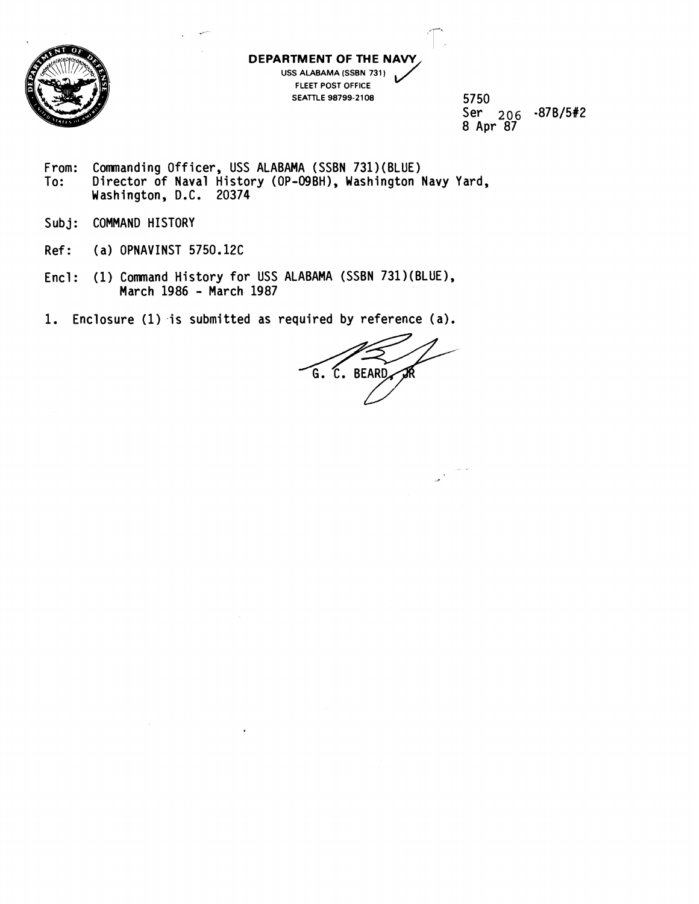

**DEPARTMENT OF THE NAW** 

**USS ALABAMA (SSBN 731** ) **FLEET POST OFFICE SEATTLE 98799-2108**   $\bigvee$ 

**5750 Ser 2 0 6 -87B/5#2 8 Apr 87** 

- **From: Comnanding Officer, USS ALABAMA (SSBN 731)(BLUE) To: Director of Naval History (OP-09BH), Washington Navy Yard, Washington, D.C. 20374**
- $Subj:$ COMMAND HISTORY
- **Ref: (a) OPNAVINST 5150.12C**
- Encl: (1) Command History for USS ALABAMA (SSBN 731)(BLUE), **March 1986** - **March 1987**
- 1. Enclosure (1) is submitted as required by reference (a).

G. C. BEARD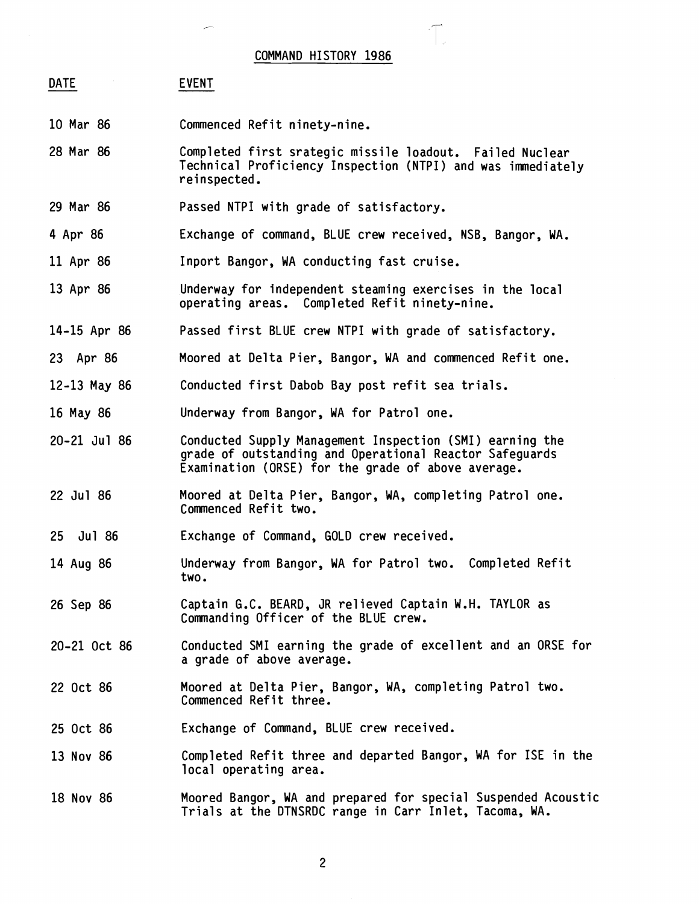## COMMAND HISTORY 1986

## DATE EVENT

- 10 Mar 86 Commenced Refit ninety-nine.
- 28 Mar 86 Completed first srategic missile loadout. Failed Nuclear Technical Proficiency Inspection (NTPI) and was immediately reinspected.
- 29 Mar 86 Passed NTPI with grade of satisfactory.
- 4 Apr 86 Exchange of command, BLUE crew received, NSB, Bangor, WA.
- 11 Apr 86 Inport Bangor, WA conducting fast cruise.
- 13 Apr 86 Underway for independent steaming exercises in the local operating areas. Completed Refit ninety-nine.
- 14-15 Apr 86 Passed first BLUE crew NTPI with grade of satisfactory.
- 23 Apr 86 Moored at Delta Pier, Bangor, WA and commenced Refit one.
- 12-13 May 86 Conducted first Dabob Bay post refit sea trials.
- 16 May 86 Underway from Bangor, WA for Patrol one.
- 20-21 Jul 86 Conducted Supply Management Inspection (SMI) earning the grade of outstanding and Operational Reactor Safeguards Examination (ORSE) for the grade of above average.
- 22 Jul 86 Moored at Delta Pier, Bangor, WA, completing Patrol one. Commenced Refit two.
- 25 Jul 86 Exchange of Command, GOLD crew received.
- 14 Aug 86 Underway from Bangor, WA for Patrol two. Completed Refit two.
- 26 Sep 86 Captain G.C. BEARD, JR relieved Captain W.H. TAYLOR as Commanding Officer of the BLUE crew.
- Conducted SMI earning the grade of excellent and an ORSE for 20-21 Oct 86 a grade of above average.
- 22 Oct 86 Moored at Delta Pier, Bangor, WA, completing Patrol two. Commenced Refit three.
- 25 Oct 86 Exchange of Command, BLUE crew received.
- 13 Nov 86 Completed Refit three and departed Bangor, WA for ISE in the local operating area.
- 18 Nov 86 Moored Bangor, WA and prepared for special Suspended Acoustic Trials at the DTNSRDC range in Carr Inlet, Tacoma, WA.

 $\overline{c}$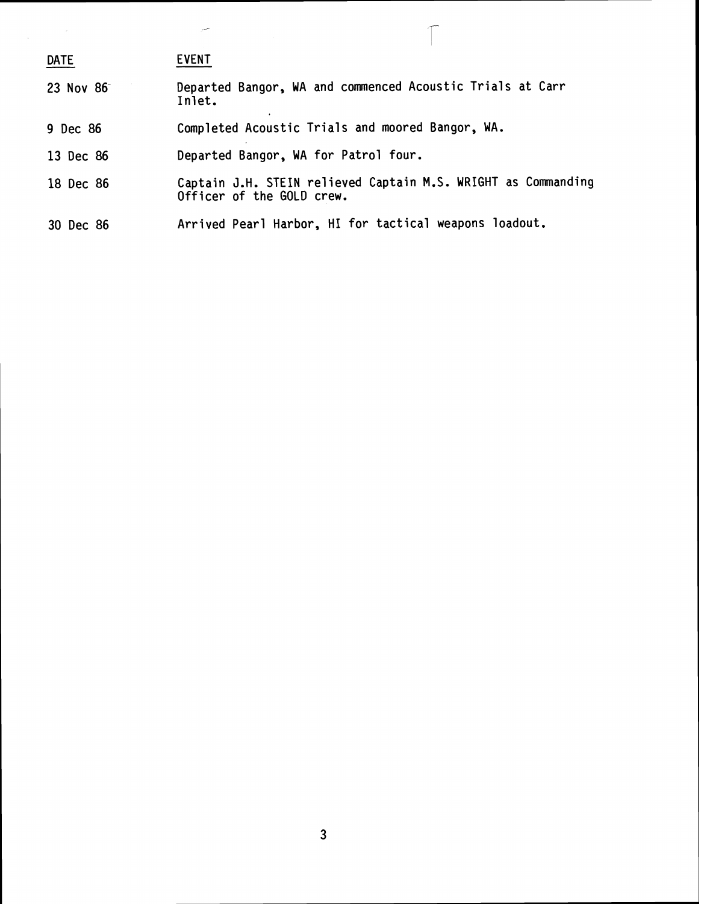| <b>DATE</b> | <b>EVENT</b>                                                                               |
|-------------|--------------------------------------------------------------------------------------------|
| 23 Nov 86   | Departed Bangor, WA and commenced Acoustic Trials at Carr<br>Inlet.                        |
| 9 Dec 86    | Completed Acoustic Trials and moored Bangor, WA.                                           |
| 13 Dec 86   | Departed Bangor, WA for Patrol four.                                                       |
| 18 Dec 86   | Captain J.H. STEIN relieved Captain M.S. WRIGHT as Commanding<br>Officer of the GOLD crew. |
| 30 Dec 86   | Arrived Pearl Harbor, HI for tactical weapons loadout.                                     |

 $\Gamma$ 

 $\label{eq:2.1} \frac{1}{\sqrt{2\pi}}\int_{0}^{\infty}\frac{1}{\sqrt{2\pi}}\left(\frac{1}{\sqrt{2\pi}}\right)^{2\alpha}d\theta.$